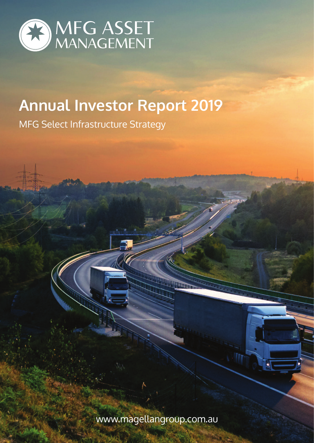

# **Annual Investor Report 2019**

MFG Select Infrastructure Strategy

www.magellangroup.com.au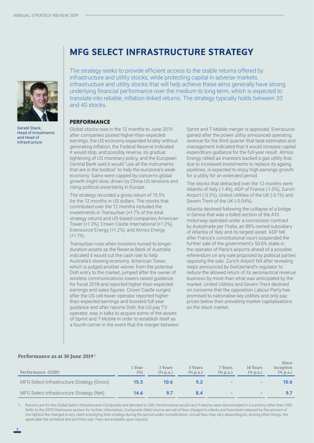

Gerald Stack, Head of Investments and Head of Infrastructure

# **MFG SELECT INFRASTRUCTURE STRATEGY**

The strategy seeks to provide efficient access to the stable returns offered by infrastructure and utility stocks, while protecting capital in adverse markets. Infrastructure and utility stocks that will help achieve these aims generally have strong underlying financial performance over the medium to long term, which is expected to translate into reliable, inflation-linked returns. The strategy typically holds between 20 and 40 stocks.

#### **PERFORMANCE**

Global stocks rose in the 12 months to June 2019 after companies posted higher-than-expected earnings, the US economy expanded briskly without generating inflation, the Federal Reserve indicated it would stop, and possibly reverse, its gradual tightening of US monetary policy, and the European Central Bank said it would "use all the instruments that are in the toolbox" to help the eurozone's weak economy. Gains were capped by concerns global growth might slow, driven by China-US tensions and rising political uncertainty in Europe.

The strategy recorded a gross return of 15.5% for the 12 months in US dollars. The stocks that contributed over the 12 months included the investments in Transurban (+1.7% of the total strategy return) and US-based companies American Tower (+1.3%), Crown Castle International (+1.2%), Eversource Energy (+1.2%), and Atmos Energy  $(+1.1\%)$ .

Transurban rose when investors turned to longerduration assets as the Reserve Bank of Australia indicated it would cut the cash rate to help Australia's slowing economy. American Tower, which is judged another winner from the potential Dish entry to the market, jumped after the owner of wireless communications towers raised guidance for fiscal 2018 and reported higher-than-expected earnings and sales figures. Crown Castle surged after the US cell-tower operator reported higherthan-expected earnings and boosted full-year guidance and after reports Dish, the US pay TV operator, was in talks to acquire some of the assets of Sprint and T-Mobile in order to establish itself as a fourth carrier in the event that the merger between Sprint and T-Mobile merger is approved. Eversource gained after the power utility announced operating revenue for the third quarter that beat estimates and management indicated that it would increase capital expenditure guidance for the full-year result. Atmos Energy rallied as investors backed a gas utility that, due to increased investments to replace its ageing pipelines, is expected to enjoy high earnings growth for a utility for an extended period.

The stocks that detracted over the 12 months were Atlantia of Italy (-1.4%), ADP of France (-1.0%), Zurich Airport (-0.3%), United Utilities of the UK (-0.1%) and Severn Trent of the UK (-0.04%).

Atlantia declined following the collapse of a bridge in Genoa that was a tolled section of the A10 motorway operated under a concession contract by Autostrade per l'Italia, an 88% owned subsidiary of Atlantia of Italy and its largest asset. ADP fell after France's constitutional court suspended the further sale of the government's 50.6% stake in the operator of Paris's airports ahead of a possible referendum on any sale proposed by political parties opposing the sale. Zurich Airport fell after revealing steps announced by Switzerland's regulator to reduce the allowed return of its aeronautical revenue business by more than what was anticipated by the market. United Utilities and Severn Trent declined on concerns that the opposition Labour Party has promised to nationalise key utilities and only pay prices below their prevailing market capitalisations on the stock market.

#### **Performance as at 30 June 2019 1**

| Performance $(USD)^1$                      | 1 Year<br>(9/0) | 3 Years<br>$(\%$ p.a.) | 5 Years<br>$(\%$ p.a.) | 7 Years<br>$(\%$ p.a.) | 10 Years<br>$(\%$ p.a.) | Since<br>inception<br>$(\%$ p.a.) |
|--------------------------------------------|-----------------|------------------------|------------------------|------------------------|-------------------------|-----------------------------------|
| MFG Select Infrastructure Strategy (Gross) | $15.5^{\circ}$  | 10.6                   |                        |                        |                         | 10.6                              |
| MFG Select Infrastructure Strategy (Net)   | 14.6            |                        |                        |                        |                         |                                   |

Returns are for the Global Select Infrastructure Composite and denoted in USD. Performance would vary if returns were denominated in a currency other than USD. Refer to the GIPS Disclosure section for further information. Composite (Net) returns are net of fees charged to clients and have been reduced by the amount of the highest fee charged to any client employing that strategy during the period under consideration. Actual fees may vary depending on, among other things, the applicable fee schedule and portfolio size. Fees are available upon request.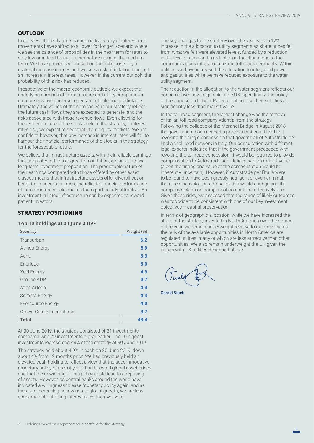## **OUTLOOK**

In our view, the likely time frame and trajectory of interest rate movements have shifted to a 'lower for longer' scenario where we see the balance of probabilities in the near term for rates to stay low or indeed be cut further before rising in the medium term. We have previously focused on the risks posed by a material increase in rates and we see a risk of inflation leading to an increase in interest rates. However, in the current outlook, the probability of this risk has reduced.

Irrespective of the macro-economic outlook, we expect the underlying earnings of infrastructure and utility companies in our conservative universe to remain reliable and predictable. Ultimately, the values of the companies in our strategy reflect the future cash flows they are expected to generate, and the risks associated with those revenue flows. Even allowing for the resilient nature of the stocks held in the strategy, if interest rates rise, we expect to see volatility in equity markets. We are confident, however, that any increase in interest rates will fail to hamper the financial performance of the stocks in the strategy for the foreseeable future.

We believe that infrastructure assets, with their reliable earnings that are protected to a degree from inflation, are an attractive, long-term investment proposition. The predictable nature of their earnings compared with those offered by other asset classes means that infrastructure assets offer diversification benefits. In uncertain times, the reliable financial performance of infrastructure stocks makes them particularly attractive. An investment in listed infrastructure can be expected to reward patient investors.

### **STRATEGY POSITIONING**

#### **Top-10 holdings at 30 June 2019 2**

| Security                   | Weight (%) |
|----------------------------|------------|
| Transurban                 | 6.2        |
| <b>Atmos Energy</b>        | 5.9        |
| Aena                       | 5.3        |
| Enbridge                   | 5.0        |
| Xcel Energy                | 4.9        |
| Groupe ADP                 | 4.7        |
| Atlas Arteria              | 4.4        |
| Sempra Energy              | 4.3        |
| <b>Eversource Energy</b>   | 4.0        |
| Crown Castle International | 3.7        |
| <b>Total</b>               | 48.4       |

At 30 June 2019, the strategy consisted of 31 investments compared with 29 investments a year earlier. The 10 biggest investments represented 48% of the strategy at 30 June 2019.

The strategy held about 4.9% in cash on 30 June 2019, down about 4% from 12 months prior. We had previously held an elevated cash holding to reflect a view that the accommodative monetary policy of recent years had boosted global asset prices and that the unwinding of this policy could lead to a repricing of assets. However, as central banks around the world have indicated a willingness to ease monetary policy again, and as there are increasing headwinds to global growth, we are less concerned about rising interest rates than we were.

The key changes to the strategy over the year were a 12% increase in the allocation to utility segments as share prices fell from what we felt were elevated levels, funded by a reduction in the level of cash and a reduction in the allocations to the communications infrastructure and toll roads segments. Within utilities, we have increased the allocation to integrated power and gas utilities while we have reduced exposure to the water utility segment.

The reduction in the allocation to the water segment reflects our concerns over sovereign risk in the UK, specifically, the policy of the opposition Labour Party to nationalise these utilities at significantly less than market value.

In the toll road segment, the largest change was the removal of Italian toll road company Atlantia from the strategy. Following the collapse of the Morandi Bridge in August 2018, the government commenced a process that could lead to it revoking the single concession that governs all of Autostrade per l'Italia's toll road network in Italy. Our consultation with different legal experts indicated that if the government proceeded with revoking the toll road concession, it would be required to provide compensation to Autostrade per l'Italia based on market value (albeit the timing and value of the compensation would be inherently uncertain). However, if Autostrade per l'Italia were to be found to have been grossly negligent or even criminal, then the discussion on compensation would change and the company's claim on compensation could be effectively zero. Given these risks, we assessed that the range of likely outcomes was too wide to be consistent with one of our key investment objectives – capital preservation.

In terms of geographic allocation, while we have increased the share of the strategy invested in North America over the course of the year, we remain underweight relative to our universe as the bulk of the available opportunities in North America are regulated utilities, many of which are less attractive than other opportunities. We also remain underweight the UK given the issues with UK utilities described above.

Gerald Stack